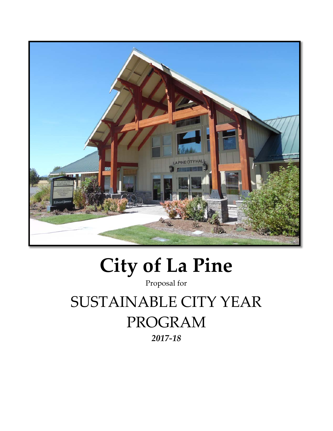

# **City of La Pine**

Proposal for

SUSTAINABLE CITY YEAR PROGRAM

*2017-18*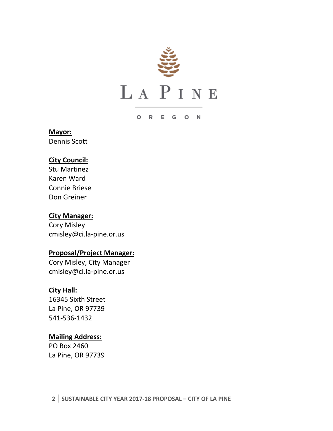

### O R E G O N

# **Mayor:**

Dennis Scott

# **City Council:**

Stu Martinez Karen Ward Connie Briese Don Greiner

### **City Manager:**

Cory Misley cmisley@ci.la-pine.or.us

### **Proposal/Project Manager:**

Cory Misley, City Manager cmisley@ci.la-pine.or.us

### **City Hall:**

16345 Sixth Street La Pine, OR 97739 541-536-1432

### **Mailing Address:**

PO Box 2460 La Pine, OR 97739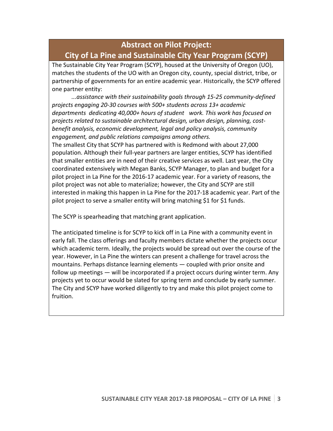# **Abstract on Pilot Project: City of La Pine and Sustainable City Year Program (SCYP)**

The Sustainable City Year Program (SCYP), housed at the University of Oregon (UO), matches the students of the UO with an Oregon city, county, special district, tribe, or partnership of governments for an entire academic year. Historically, the SCYP offered one partner entity:

*...assistance with their sustainability goals through 15-25 community-defined projects engaging 20-30 courses with 500+ students across 13+ academic departments dedicating 40,000+ hours of student work. This work has focused on projects related to sustainable architectural design, urban design, planning, costbenefit analysis, economic development, legal and policy analysis, community engagement, and public relations campaigns among others.*

The smallest City that SCYP has partnered with is Redmond with about 27,000 population. Although their full-year partners are larger entities, SCYP has identified that smaller entities are in need of their creative services as well. Last year, the City coordinated extensively with Megan Banks, SCYP Manager, to plan and budget for a pilot project in La Pine for the 2016-17 academic year. For a variety of reasons, the pilot project was not able to materialize; however, the City and SCYP are still interested in making this happen in La Pine for the 2017-18 academic year. Part of the pilot project to serve a smaller entity will bring matching \$1 for \$1 funds.

The SCYP is spearheading that matching grant application.

The anticipated timeline is for SCYP to kick off in La Pine with a community event in early fall. The class offerings and faculty members dictate whether the projects occur which academic term. Ideally, the projects would be spread out over the course of the year. However, in La Pine the winters can present a challenge for travel across the mountains. Perhaps distance learning elements — coupled with prior onsite and follow up meetings — will be incorporated if a project occurs during winter term. Any projects yet to occur would be slated for spring term and conclude by early summer. The City and SCYP have worked diligently to try and make this pilot project come to fruition.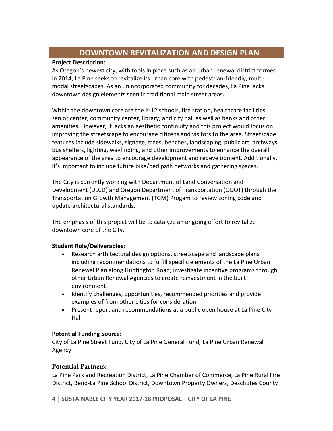# **DOWNTOWN REVITALIZATION AND DESIGN PLAN**

### **Project Description:**

As Oregon's newest city, with tools in place such as an urban renewal district formed in 2014, La Pine seeks to revitalize its urban core with pedestrian-friendly, multimodal streetscapes. As an unincorporated community for decades, La Pine lacks downtown design elements seen in traditional main street areas.

Within the downtown core are the K-12 schools, fire station, healthcare facilities, senior center, community center, library, and city hall as well as banks and other amenities. However, it lacks an aesthetic continuity and this project would focus on improving the streetscape to encourage citizens and visitors to the area. Streetscape features include sidewalks, signage, trees, benches, landscaping, public art, archways, bus shelters, lighting, wayfinding, and other improvements to enhance the overall appearance of the area to encourage development and redevelopment. Additionally, it's important to include future bike/ped path networks and gathering spaces.

The City is currently working with Department of Land Conversation and Development (DLCD) and Oregon Department of Transportation (ODOT) through the Transportation Growth Management (TGM) Progam to review zoning code and update architectural standards.

The emphasis of this project will be to catalyze an ongoing effort to revitalize downtown core of the City.

### **Student Role/Deliverables:**

- Research arthitectural design options, streetscape and landscape plans including recommendations to fulfill specific elements of the La Pine Urban Renewal Plan along Huntington Road; investigate incentive programs through other Urban Renewal Agencies to create reinvestment in the built environment
- Identify challenges, opportunities, recommended priorities and provide examples of from other cities for consideration
- Present report and recommendations at a public open house at La Pine City Hall

### **Potential Funding Source:**

City of La Pine Street Fund*,* City of La Pine General Fund*,* La Pine Urban Renewal Agency

### **Potential Partners:**

La Pine Park and Recreation District, La Pine Chamber of Commerce, La Pine Rural Fire District, Bend-La Pine School District, Downtown Property Owners, Deschutes County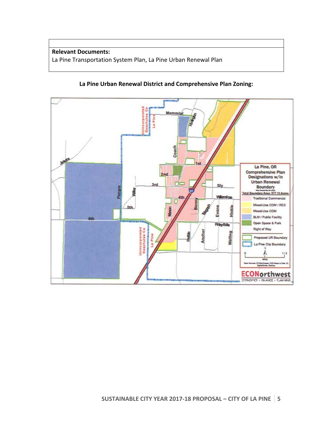### **Relevant Documents:** La Pine Transportation System Plan, La Pine Urban Renewal Plan

### **La Pine Urban Renewal District and Comprehensive Plan Zoning:**

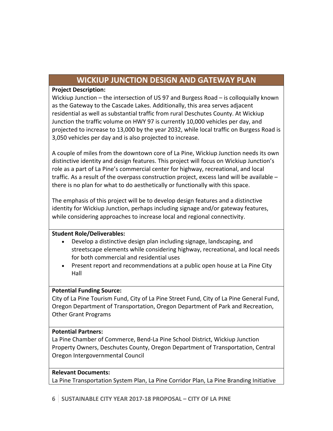# **WICKIUP JUNCTION DESIGN AND GATEWAY PLAN**

### **Project Description:**

Wickiup Junction – the intersection of US 97 and Burgess Road – is colloquially known as the Gateway to the Cascade Lakes. Additionally, this area serves adjacent residential as well as substantial traffic from rural Deschutes County. At Wickiup Junction the traffic volume on HWY 97 is currently 10,000 vehicles per day, and projected to increase to 13,000 by the year 2032, while local traffic on Burgess Road is 3,050 vehicles per day and is also projected to increase.

A couple of miles from the downtown core of La Pine, Wickiup Junction needs its own distinctive identity and design features. This project will focus on Wickiup Junction's role as a part of La Pine's commercial center for highway, recreational, and local traffic. As a result of the overpass construction project, excess land will be available – there is no plan for what to do aesthetically or functionally with this space.

The emphasis of this project will be to develop design features and a distinctive identity for Wickiup Junction, perhaps including signage and/or gateway features, while considering approaches to increase local and regional connectivity.

### **Student Role/Deliverables:**

- Develop a distinctive design plan including signage, landscaping, and streetscape elements while considering highway, recreational, and local needs for both commercial and residential uses
- Present report and recommendations at a public open house at La Pine City Hall

### **Potential Funding Source:**

City of La Pine Tourism Fund, City of La Pine Street Fund, City of La Pine General Fund, Oregon Department of Transportation, Oregon Department of Park and Recreation, Other Grant Programs

### **Potential Partners:**

La Pine Chamber of Commerce, Bend-La Pine School District, Wickiup Junction Property Owners, Deschutes County, Oregon Department of Transportation, Central Oregon Intergovernmental Council

### **Relevant Documents:**

La Pine Transportation System Plan, La Pine Corridor Plan, La Pine Branding Initiative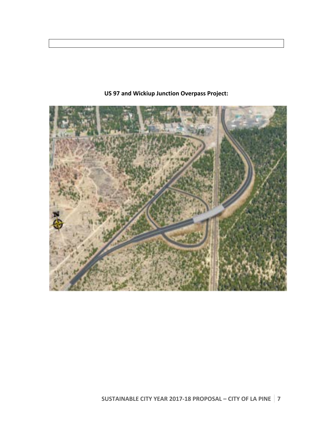

## **US 97 and Wickiup Junction Overpass Project:**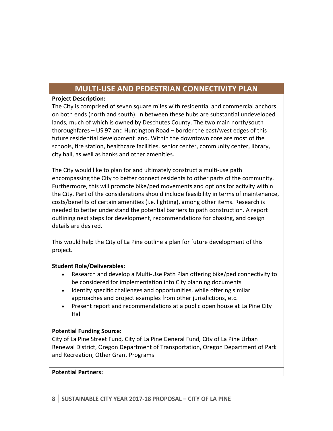# **MULTI-USE AND PEDESTRIAN CONNECTIVITY PLAN**

### **Project Description:**

The City is comprised of seven square miles with residential and commercial anchors on both ends (north and south). In between these hubs are substantial undeveloped lands, much of which is owned by Deschutes County. The two main north/south thoroughfares – US 97 and Huntington Road – border the east/west edges of this future residential development land. Within the downtown core are most of the schools, fire station, healthcare facilities, senior center, community center, library, city hall, as well as banks and other amenities.

The City would like to plan for and ultimately construct a multi-use path encompassing the City to better connect residents to other parts of the community. Furthermore, this will promote bike/ped movements and options for activity within the City. Part of the considerations should include feasibility in terms of maintenance, costs/benefits of certain amenities (i.e. lighting), among other items. Research is needed to better understand the potential barriers to path construction. A report outlining next steps for development, recommendations for phasing, and design details are desired.

This would help the City of La Pine outline a plan for future development of this project.

### **Student Role/Deliverables:**

- Research and develop a Multi-Use Path Plan offering bike/ped connectivity to be considered for implementation into City planning documents
- Identify specific challenges and opportunities, while offering similar approaches and project examples from other jurisdictions, etc.
- Present report and recommendations at a public open house at La Pine City Hall

### **Potential Funding Source:**

City of La Pine Street Fund*,* City of La Pine General Fund*,* City of La Pine Urban Renewal District, Oregon Department of Transportation, Oregon Department of Park and Recreation, Other Grant Programs

### **Potential Partners:**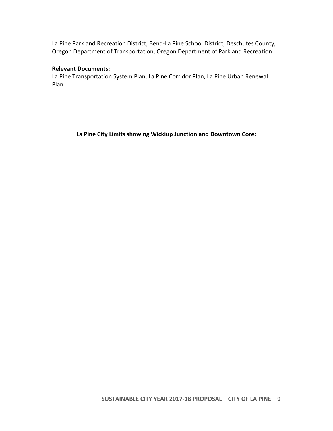La Pine Park and Recreation District, Bend-La Pine School District, Deschutes County, Oregon Department of Transportation, Oregon Department of Park and Recreation

### **Relevant Documents:**

La Pine Transportation System Plan, La Pine Corridor Plan, La Pine Urban Renewal Plan

**La Pine City Limits showing Wickiup Junction and Downtown Core:**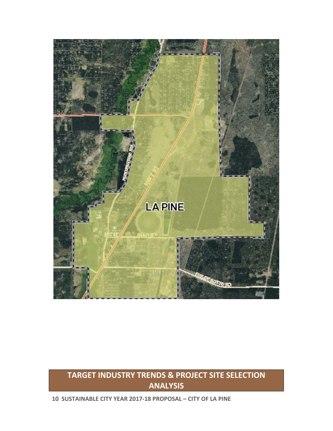

# **TARGET INDUSTRY TRENDS & PROJECT SITE SELECTION ANALYSIS**

**10 SUSTAINABLE CITY YEAR 2017-18 PROPOSAL – CITY OF LA PINE**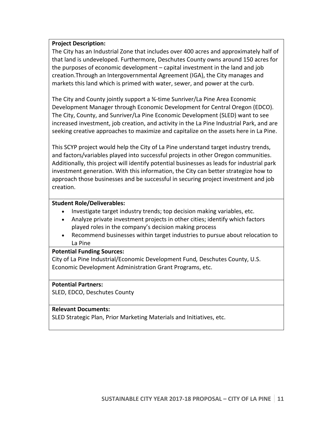### **Project Description:**

The City has an Industrial Zone that includes over 400 acres and approximately half of that land is undeveloped. Furthermore, Deschutes County owns around 150 acres for the purposes of economic development – capital investment in the land and job creation.Through an Intergovernmental Agreement (IGA), the City manages and markets this land which is primed with water, sewer, and power at the curb.

The City and County jointly support a ¾-time Sunriver/La Pine Area Economic Development Manager through Economic Development for Central Oregon (EDCO). The City, County, and Sunriver/La Pine Economic Development (SLED) want to see increased investment, job creation, and activity in the La Pine Industrial Park, and are seeking creative approaches to maximize and capitalize on the assets here in La Pine.

This SCYP project would help the City of La Pine understand target industry trends, and factors/variables played into successful projects in other Oregon communities. Additionally, this project will identify potential businesses as leads for industrial park investment generation. With this information, the City can better strategize how to approach those businesses and be successful in securing project investment and job creation.

### **Student Role/Deliverables:**

- Investigate target industry trends; top decision making variables, etc.
- Analyze private investment projects in other cities; identify which factors played roles in the company's decision making process
- Recommend businesses within target industries to pursue about relocation to La Pine

### **Potential Funding Sources:**

City of La Pine Industrial/Economic Development Fund*,* Deschutes County, U.S. Economic Development Administration Grant Programs, etc.

### **Potential Partners:**

SLED, EDCO, Deschutes County

### **Relevant Documents:**

SLED Strategic Plan, Prior Marketing Materials and Initiatives, etc.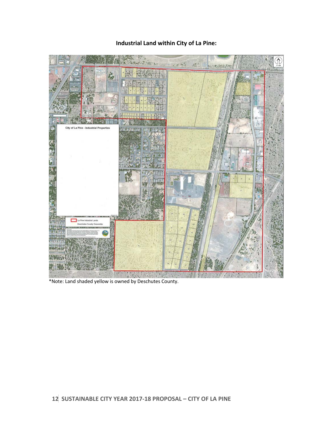## **Industrial Land within City of La Pine:**



\*Note: Land shaded yellow is owned by Deschutes County.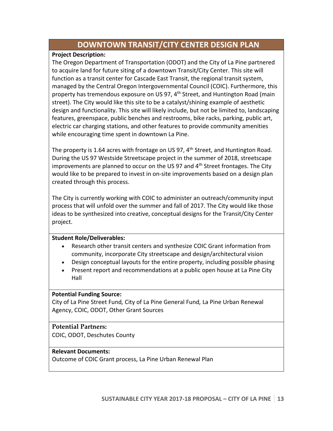# **DOWNTOWN TRANSIT/CITY CENTER DESIGN PLAN**

### **Project Description:**

The Oregon Department of Transportation (ODOT) and the City of La Pine partnered to acquire land for future siting of a downtown Transit/City Center. This site will function as a transit center for Cascade East Transit, the regional transit system, managed by the Central Oregon Intergovernmental Council (COIC). Furthermore, this property has tremendous exposure on US 97, 4<sup>th</sup> Street, and Huntington Road (main street). The City would like this site to be a catalyst/shining example of aesthetic design and functionality. This site will likely include, but not be limited to, landscaping features, greenspace, public benches and restrooms, bike racks, parking, public art, electric car charging stations, and other features to provide community amenities while encouraging time spent in downtown La Pine.

The property is 1.64 acres with frontage on US 97,  $4<sup>th</sup>$  Street, and Huntington Road. During the US 97 Westside Streetscape project in the summer of 2018, streetscape improvements are planned to occur on the US 97 and  $4<sup>th</sup>$  Street frontages. The City would like to be prepared to invest in on-site improvements based on a design plan created through this process.

The City is currently working with COIC to administer an outreach/community input process that will unfold over the summer and fall of 2017. The City would like those ideas to be synthesized into creative, conceptual designs for the Transit/City Center project.

### **Student Role/Deliverables:**

- Research other transit centers and synthesize COIC Grant information from community, incorporate City streetscape and design/architectural vision
- Design conceptual layouts for the entire property, including possible phasing
- Present report and recommendations at a public open house at La Pine City Hall

### **Potential Funding Source:**

City of La Pine Street Fund*,* City of La Pine General Fund*,* La Pine Urban Renewal Agency, COIC, ODOT, Other Grant Sources

### **Potential Partners:**

COIC, ODOT, Deschutes County

### **Relevant Documents:**

Outcome of COIC Grant process, La Pine Urban Renewal Plan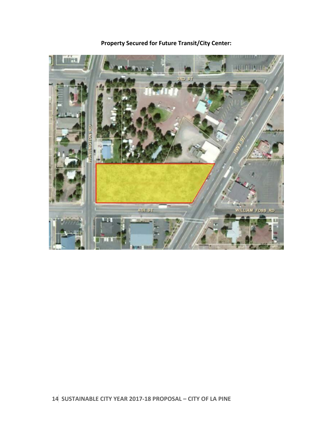

**Property Secured for Future Transit/City Center:**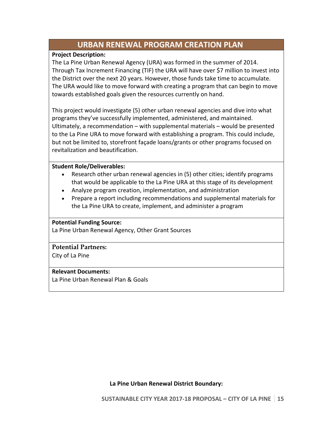# **URBAN RENEWAL PROGRAM CREATION PLAN**

### **Project Description:**

The La Pine Urban Renewal Agency (URA) was formed in the summer of 2014. Through Tax Increment Financing (TIF) the URA will have over \$7 million to invest into the District over the next 20 years. However, those funds take time to accumulate. The URA would like to move forward with creating a program that can begin to move towards established goals given the resources currently on hand.

This project would investigate (5) other urban renewal agencies and dive into what programs they've successfully implemented, administered, and maintained. Ultimately, a recommendation – with supplemental materials – would be presented to the La Pine URA to move forward with establishing a program. This could include, but not be limited to, storefront façade loans/grants or other programs focused on revitalization and beautification.

### **Student Role/Deliverables:**

- Research other urban renewal agencies in (5) other cities; identify programs that would be applicable to the La Pine URA at this stage of its development
- Analyze program creation, implementation, and administration
- Prepare a report including recommendations and supplemental materials for the La Pine URA to create, implement, and administer a program

### **Potential Funding Source:**

La Pine Urban Renewal Agency, Other Grant Sources

### **Potential Partners:**

City of La Pine

### **Relevant Documents:**

La Pine Urban Renewal Plan & Goals

**La Pine Urban Renewal District Boundary:**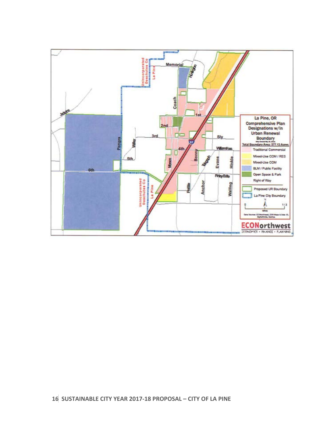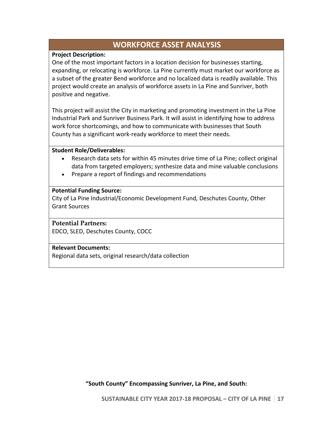# **WORKFORCE ASSET ANALYSIS**

### **Project Description:**

One of the most important factors in a location decision for businesses starting, expanding, or relocating is workforce. La Pine currently must market our workforce as a subset of the greater Bend workforce and no localized data is readily available. This project would create an analysis of workforce assets in La Pine and Sunriver, both positive and negative.

This project will assist the City in marketing and promoting investment in the La Pine Industrial Park and Sunriver Business Park. It will assist in identifying how to address work force shortcomings, and how to communicate with businesses that South County has a significant work-ready workforce to meet their needs.

### **Student Role/Deliverables:**

- Research data sets for within 45 minutes drive time of La Pine; collect original data from targeted employers; synthesize data and mine valuable conclusions
- Prepare a report of findings and recommendations

### **Potential Funding Source:**

City of La Pine Industrial/Economic Development Fund*,* Deschutes County, Other Grant Sources

### **Potential Partners:**

EDCO, SLED, Deschutes County, COCC

### **Relevant Documents:**

Regional data sets, original research/data collection

**"South County" Encompassing Sunriver, La Pine, and South:**